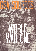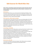# **GSA Sources for World War One**

**GSA's Archives and Collections holds material which provides information about the School's activities during 1914‐1918 and its staff and students' involvement in the First World War.**

#### **Roll of Honour**

The School's Roll of Honour was commissioned for the Mackintosh Building in 1925. The names of staff and students who served in the First World War are listed on three pieces of parchment which sit within a metal frame. The calligraphy for this piece was undertaken by a former student Dorothy Doddrell.

#### **GSA Prospectuses, 1893 to date (incomplete)**

The prospectuses for 1914‐1918 show which courses were being taught by the School during this period. GSA published a prospectus for prospective students each year, although until 1947 these were called calendars. Prospectuses generally include lists of governors and staff, a brief history of the School, information on the organisation and administration of the School, the enrolment of students, courses, classes, lectures, fees, examinations, scholarships and bursaries, prizes, School clubs. Reference: GSAA/REG/1

#### **Annual Reports, 1848‐2000s**

The Annual Reports for 1914‐1918 provide an overview of the School's activities during this period and how these were affected by the War. The following types of information can be found although they are not all recorded in each year's report: lists of office bearers, governors and staff, annual reports of Committee of Management/Board of Governors, reports of Headmaster/Director, various other reports, proceedings at annual meeting, tables of numbers of students attending each class, lists of occupations and ages of students, lists of prizes, programmes of classes and fees, lists of subscriptions, annual accounts. Reference: GSAA/GOV/1

# **Minute books, 1854‐1985**

The minutes of the Board of Governors between 1914‐1918 provide more detailed information about the areas covered by the Annual Reports above. Reference: GSAA/GOV/2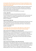**Correspondence files of the School's Secretary and Treasurer include letters to and from students and staff relating to their war service and/or their attendance at GSA during the 1914‐1918 period.** 

The post of Secretary and Treasurer was established in 1873 and during the early  $20^{th}$ century it was the main administrative post at GSA, looking after correspondence, keeping student registers, and being responsible for the administration of financial, personnel, legal, estates and student matters.

There are two main sections of correspondence for this period:

# **In letters, 1904‐1944**

In‐coming letters on all aspects of the administration of the School. This series includes letters to the Director of the School as well as to the Secretary and Treasurer. The letters are arranged chronologically by year and, within each year, alphabetically by surname of correspondent. Reference: GSAA/SEC/1

# **Copy Out Letters, 1853‐1944**

Copies of out‐going letters on all aspects of the administration of the School. The series includes letters from the Director of the School, in particular from Charles Heath Wilson, 1853‐1855, as well as from the Secretary and Treasurer. These letters are arranged in chronological order.

Reference: GSAA/SEC/2

# **Correspondence files of Francis Newbery (1855‐1946) who was GSA's Director between 1885‐1918 contain references to the School's wartime activities:**

## **Letters sent by Francis H Newbery, 14 Jan 1914‐14 Sep 1914**

Outgoing letters, F‐H: J. Arnold Fleming on the death of Sir James Fleming, Chairman of the Governors (May); Professor Patrick Geddes re: a competition for architecture students (May); Norah Neilson Gray re: a more permanent position on the staff (Jan & June); Mr Groundwater re: effect of war on Service Staff (Sep); William Hunter re: scholarship travel in Germany, Italy & Spain, with advice about health and problems during wartime (Mar‐Aug).

Extent: 1 folder Reference: GSAA/DIR/5/23

# **Letters sent by Francis H Newbery, 19 Dec 1913‐16 Sep 1914**

Outgoing letters, T‐Z & Sundries: Mr Tatlock re: the use of artificial daylight for painting (Apr); Mrs Wyper re: British Empire Shakespeare Society (Dec‐May); Robertson Weir re: joining up, Newbery's opinion of WWI (Aug); E.G. Wylie re: stirring up the architectural students to support the war effort, etc. [manuscript, possibly written by Jessie Newbery] (Sep); W.B. Yeats re: lecture at GSA (Mar); communication to the Scottish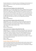Education Department re: Continuation Classes at Strathbungo and the development of a Joint Art Committee (n.d.); Lecture ‐Decorative Art and the Modem City (n.d.). Extent: 1 folder Reference: GSAA/DIR/5/27

## **Letters sent by Francis H Newbery, 20 Jun 1916‐22 Dec 1916**

Outgoing letters, A‐C: W.E. Bates, Bridport Boy's School re: Newbery Prizes for Drawing (Sep‐Oct); Mme. Baltus re: leaving Glasgow with her daughter (Oct); Sir James Bell re: lecture by E.A. Walton (Dec); J. Brown, Muirhead Trust re: assistance to furnish a rest room for women in 166‐172 Renfrew St., also refers to women's war work and the role of the woman artist in war (Jun‐Nov); to Mme. Bourdon re: a commemorative plaque for Eugene Bourdon (Nov); D.Y. Cameron re: the effects of WWI -musing on art during war (Oct). [Also some letters from 1915, incl. list of Haldane Bursary winners]. Extent: 1 folder Reference: GSAA/DIR/5/28

# **Letters sent by Francis H Newbery, 06 Sep 1916‐22 Dec 1916**

Outgoing letters, H‐M: F. Harcourt Kitchin re: portrait of a Devonshire woman that Newbery is presenting to City of Exeter Museum (Sep); Rev Langdon, Membury re: commemorative panel in church (Sep‐Oct); Allan D. Mainds re: entertainment for "Jock's Box for limbless Soldiers & Sailors" (Dec). Extent: 1 folder

Reference: GSAA/DIR/5/30

## **Letters sent by Francis H. Newbery, 06 Sep 1916‐23 Dec 1916**

Outgoing letters, S‐Z: F. Stockdale re: the Bourdon memorial (Dec); John S Samuel, City Chambers, Glasgow re: a proposal for the Incorporated Soldiers & Sailors Help Society to make some "souvenirs" (Sep‐Dec); Thomas Train, British Expeditionary Force re: reference for a commission, Newbery's reaction to war and its effect on GSA (Nov); C.F.A. Voysey re: designs for stained glass and cretonne (Oct); E.A. Walton re: his lecture at GSA and the choice of paintings required (Octec); Harry Wilson re: Proposed Arts & Crafts exhibition (Nov‐Dec).

Extent: 1 folder

Reference: GSAA/DIR/5/32

## **Records relating to War Memorial Fund, 1919**

In 1919, two dramatic performances were produced by Miss Dorothy Carleton Smyth in order to raise funds to provide a memorial to the men of the School who fell at the front. The records relating to these events include accounts, correspondence relating to patrons, and performance programmes.

Extent: 7 files, 1 bundle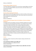#### Reference: GSAA/SEC/26

#### **Records relating to Belgium Tryst Fund**

In 1915 GSA organised a charitable event to raise funds to support Belgium and the Red Cross. The event included exhibitions, plays and concerts, and market stalls set out in the Mackintosh Building.

Extent: 1 box Reference: GSAA/SEC/30

#### **Records relating to the Bourdon Memorial**

Eugène Bourdon (1870‐1916) taught Architecture at GSA from 1904 until 1916 when he died on active service during World War One. These records relate to the memorial the School established to commemorate him.

Extent: 1 box

Reference: GSAA/SEC/31

# **Records relating to the Glasgow School of Art Exhibition of Ancient and Modern Needlecraft**

The Glasgow School of Art Exhibition of Ancient and Modern Needlecraft was opened on 11 February by Lady Stirling Maxwell of Pollock. It was divided into three sections: ecclesiastical, military and domestic, with its purpose being to allow students, craftsmen and collectors the opportunity to study the needlework of the UK and overseas. The proceeds of the sale of the exhibition catalogue went to war charities. Surviving records include a typescript list of 1012 exhibition items with descriptions and their purchasers when appropriate; photographs of individual items exhibited; financial records relating to the opening ceremony; printed stationery made for the exhibition; minutes of the Needlework Exhibition Committee; and papers relating to the organisation of the exhibition including a speech/forwarding address by Fra Newbery. Extent: 0.3 metres Reference: GSAA/EPH/9

#### **Artwork**

GSA holds a number of artworks by staff and students relating to World War One. These include:

**Three sketchbooks by William Gray (b.1890), 1917** Sketchbook by William Gray (b.1890), 1916‐1918 Reference: NMC/768A‐C

**Twelve Wartime postcard sketches by William R Hunter (1890‐1967), 1914‐1918** Reference: NMC/1039A‐L